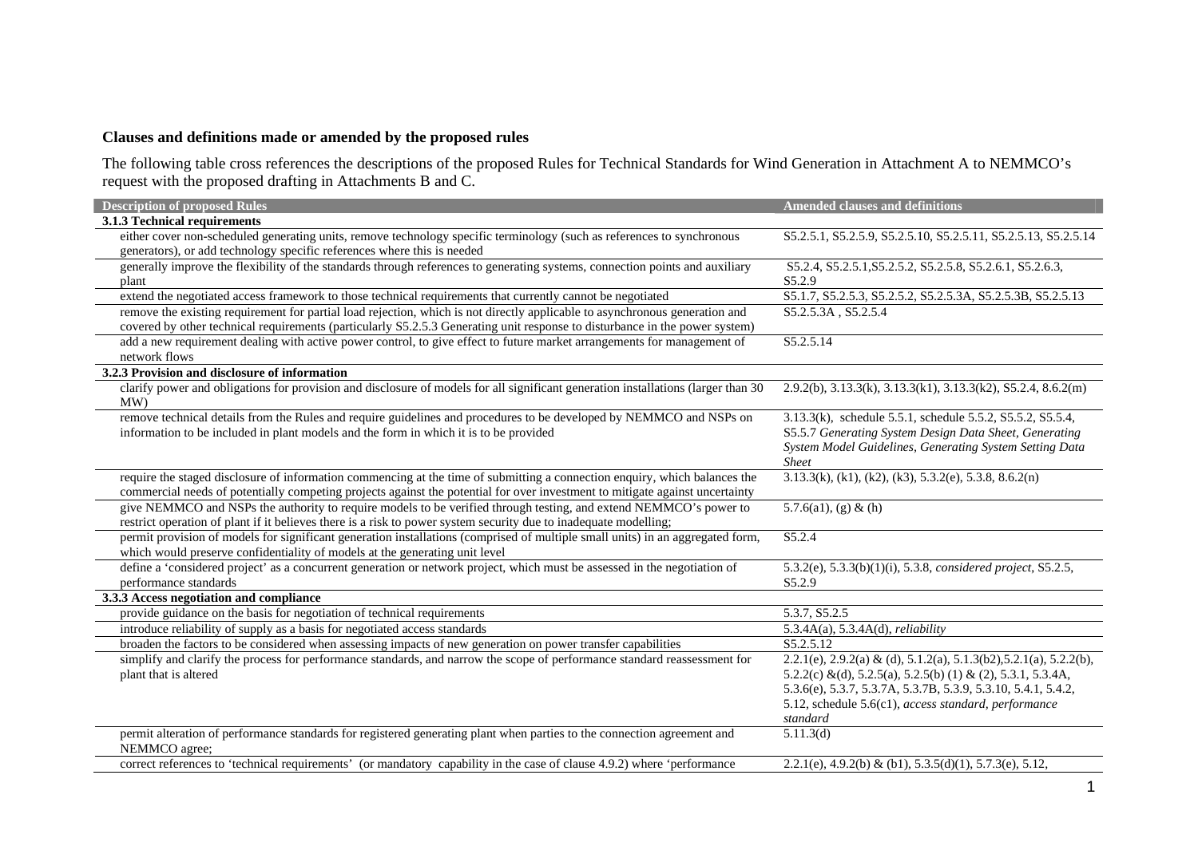## **Clauses and definitions made or amended by the proposed rules**

The following table cross references the descriptions of the proposed Rules for Technical Standards for Wind Generation in Attachment A to NEMMCO's request with the proposed drafting in Attachments B and C.

| <b>Description of proposed Rules</b>                                                                                                     | <b>Amended clauses and definitions</b>                             |
|------------------------------------------------------------------------------------------------------------------------------------------|--------------------------------------------------------------------|
| 3.1.3 Technical requirements                                                                                                             |                                                                    |
| either cover non-scheduled generating units, remove technology specific terminology (such as references to synchronous                   | S5.2.5.1, S5.2.5.9, S5.2.5.10, S5.2.5.11, S5.2.5.13, S5.2.5.14     |
| generators), or add technology specific references where this is needed                                                                  |                                                                    |
| generally improve the flexibility of the standards through references to generating systems, connection points and auxiliary             | S5.2.4, S5.2.5.1, S5.2.5.2, S5.2.5.8, S5.2.6.1, S5.2.6.3,          |
| plant                                                                                                                                    | S5.2.9                                                             |
| extend the negotiated access framework to those technical requirements that currently cannot be negotiated                               | S5.1.7, S5.2.5.3, S5.2.5.2, S5.2.5.3A, S5.2.5.3B, S5.2.5.13        |
| remove the existing requirement for partial load rejection, which is not directly applicable to asynchronous generation and              | S5.2.5.3A, S5.2.5.4                                                |
| covered by other technical requirements (particularly S5.2.5.3 Generating unit response to disturbance in the power system)              |                                                                    |
| add a new requirement dealing with active power control, to give effect to future market arrangements for management of                  | S5.2.5.14                                                          |
| network flows                                                                                                                            |                                                                    |
| 3.2.3 Provision and disclosure of information                                                                                            |                                                                    |
| clarify power and obligations for provision and disclosure of models for all significant generation installations (larger than 30<br>MW) | 2.9.2(b), 3.13.3(k), 3.13.3(k1), 3.13.3(k2), S5.2.4, 8.6.2(m)      |
| remove technical details from the Rules and require guidelines and procedures to be developed by NEMMCO and NSPs on                      | 3.13.3(k), schedule 5.5.1, schedule 5.5.2, S5.5.2, S5.5.4,         |
| information to be included in plant models and the form in which it is to be provided                                                    | S5.5.7 Generating System Design Data Sheet, Generating             |
|                                                                                                                                          | System Model Guidelines, Generating System Setting Data            |
|                                                                                                                                          | <b>Sheet</b>                                                       |
| require the staged disclosure of information commencing at the time of submitting a connection enquiry, which balances the               | $3.13.3(k)$ , (k1), (k2), (k3), 5.3.2(e), 5.3.8, 8.6.2(n)          |
| commercial needs of potentially competing projects against the potential for over investment to mitigate against uncertainty             |                                                                    |
| give NEMMCO and NSPs the authority to require models to be verified through testing, and extend NEMMCO's power to                        | 5.7.6(a1), (g) & (h)                                               |
| restrict operation of plant if it believes there is a risk to power system security due to inadequate modelling;                         |                                                                    |
| permit provision of models for significant generation installations (comprised of multiple small units) in an aggregated form,           | S5.2.4                                                             |
| which would preserve confidentiality of models at the generating unit level                                                              |                                                                    |
| define a 'considered project' as a concurrent generation or network project, which must be assessed in the negotiation of                | 5.3.2(e), 5.3.3(b)(1)(i), 5.3.8, considered project, S5.2.5,       |
| performance standards                                                                                                                    | S5.2.9                                                             |
| 3.3.3 Access negotiation and compliance                                                                                                  |                                                                    |
| provide guidance on the basis for negotiation of technical requirements                                                                  | 5.3.7, S5.2.5                                                      |
| introduce reliability of supply as a basis for negotiated access standards                                                               | $5.3.4A(a)$ , $5.3.4A(d)$ , <i>reliability</i>                     |
| broaden the factors to be considered when assessing impacts of new generation on power transfer capabilities                             | S5.2.5.12                                                          |
| simplify and clarify the process for performance standards, and narrow the scope of performance standard reassessment for                | 2.2.1(e), 2.9.2(a) & (d), 5.1.2(a), 5.1.3(b2), 5.2.1(a), 5.2.2(b), |
| plant that is altered                                                                                                                    | 5.2.2(c) &(d), 5.2.5(a), 5.2.5(b) (1) & (2), 5.3.1, 5.3.4A,        |
|                                                                                                                                          | 5.3.6(e), 5.3.7, 5.3.7A, 5.3.7B, 5.3.9, 5.3.10, 5.4.1, 5.4.2,      |
|                                                                                                                                          | 5.12, schedule 5.6(c1), access standard, performance               |
|                                                                                                                                          | standard                                                           |
| permit alteration of performance standards for registered generating plant when parties to the connection agreement and<br>NEMMCO agree; | 5.11.3(d)                                                          |
| correct references to 'technical requirements' (or mandatory capability in the case of clause 4.9.2) where 'performance                  | 2.2.1(e), 4.9.2(b) & (b1), 5.3.5(d)(1), 5.7.3(e), 5.12,            |